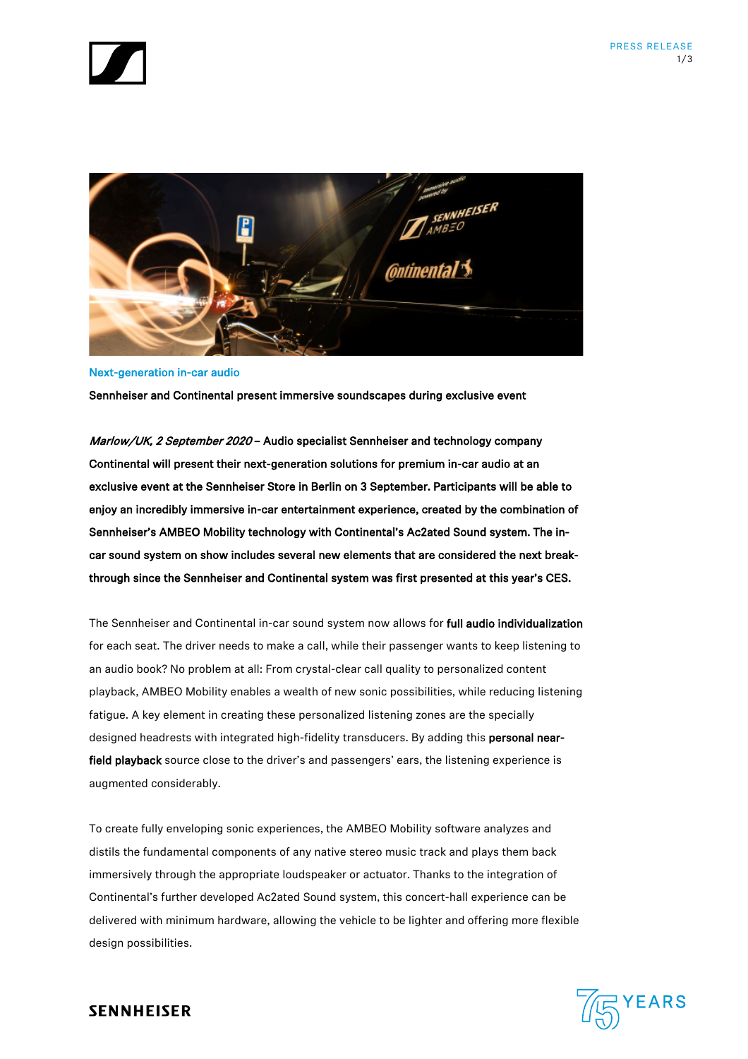



Next-generation in-car audio Sennheiser and Continental present immersive soundscapes during exclusive event

Marlow/UK, 2 September 2020 – Audio specialist Sennheiser and technology company Continental will present their next-generation solutions for premium in-car audio at an exclusive event at the Sennheiser Store in Berlin on 3 September. Participants will be able to enjoy an incredibly immersive in-car entertainment experience, created by the combination of Sennheiser's AMBEO Mobility technology with Continental's Ac2ated Sound system. The incar sound system on show includes several new elements that are considered the next breakthrough since the Sennheiser and Continental system was first presented at this year's CES.

The Sennheiser and Continental in-car sound system now allows for full audio individualization for each seat. The driver needs to make a call, while their passenger wants to keep listening to an audio book? No problem at all: From crystal-clear call quality to personalized content playback, AMBEO Mobility enables a wealth of new sonic possibilities, while reducing listening fatigue. A key element in creating these personalized listening zones are the specially designed headrests with integrated high-fidelity transducers. By adding this personal nearfield playback source close to the driver's and passengers' ears, the listening experience is augmented considerably.

To create fully enveloping sonic experiences, the AMBEO Mobility software analyzes and distils the fundamental components of any native stereo music track and plays them back immersively through the appropriate loudspeaker or actuator. Thanks to the integration of Continental's further developed Ac2ated Sound system, this concert-hall experience can be delivered with minimum hardware, allowing the vehicle to be lighter and offering more flexible design possibilities.



# **SENNHEISER**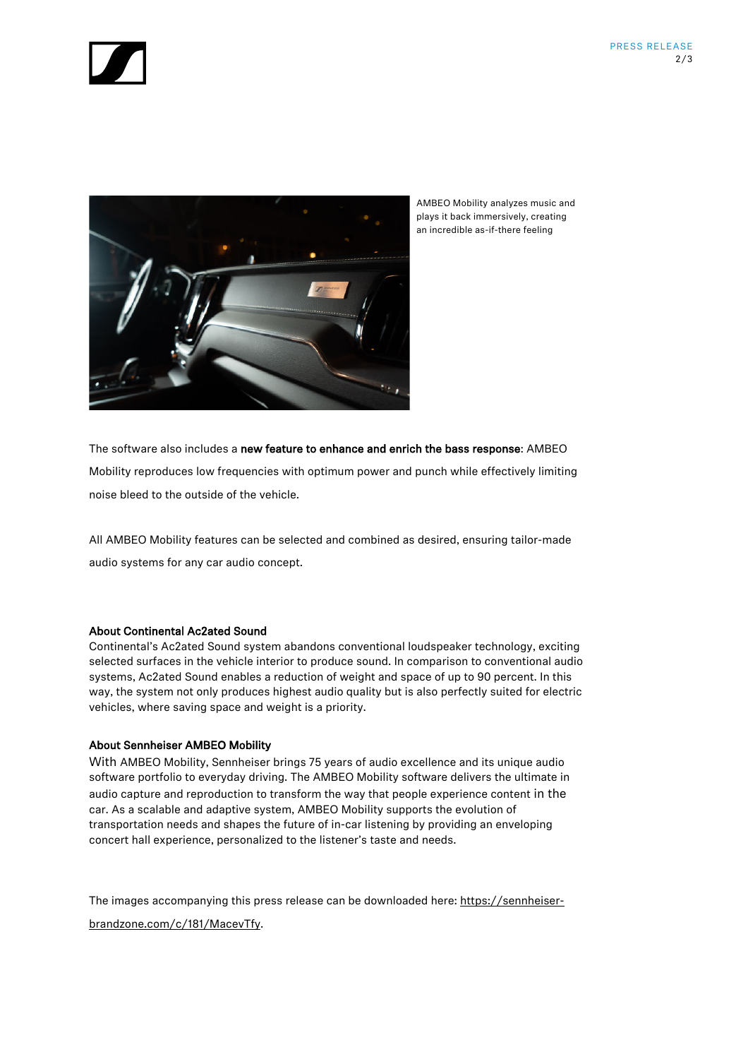



AMBEO Mobility analyzes music and plays it back immersively, creating an incredible as-if-there feeling

The software also includes a new feature to enhance and enrich the bass response: AMBEO Mobility reproduces low frequencies with optimum power and punch while effectively limiting noise bleed to the outside of the vehicle.

All AMBEO Mobility features can be selected and combined as desired, ensuring tailor-made audio systems for any car audio concept.

# About Continental Ac2ated Sound

Continental's Ac2ated Sound system abandons conventional loudspeaker technology, exciting selected surfaces in the vehicle interior to produce sound. In comparison to conventional audio systems, Ac2ated Sound enables a reduction of weight and space of up to 90 percent. In this way, the system not only produces highest audio quality but is also perfectly suited for electric vehicles, where saving space and weight is a priority.

## About Sennheiser AMBEO Mobility

With AMBEO Mobility, Sennheiser brings 75 years of audio excellence and its unique audio software portfolio to everyday driving. The AMBEO Mobility software delivers the ultimate in audio capture and reproduction to transform the way that people experience content in the car. As a scalable and adaptive system, AMBEO Mobility supports the evolution of transportation needs and shapes the future of in-car listening by providing an enveloping concert hall experience, personalized to the listener's taste and needs.

The images accompanying this press release can be downloaded here: https://sennheiserbrandzone.com/c/181/MacevTfy.